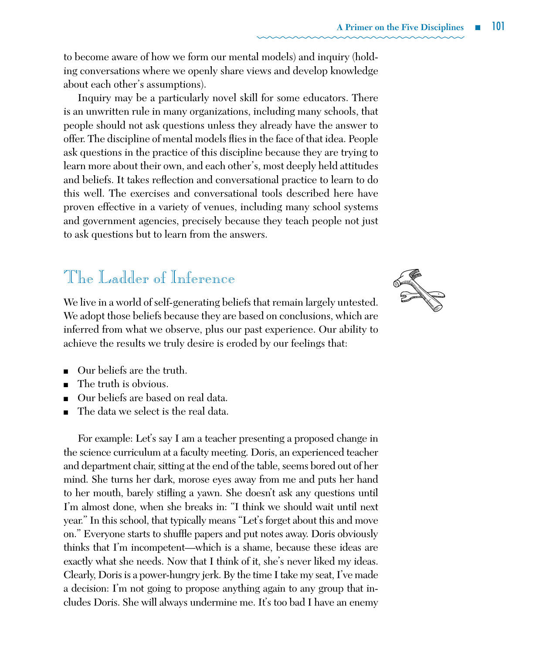## The Ladder of Inference

We live in a world of self-generating beliefs that remain largely untested. We adopt those beliefs because they are based on conclusions, which are inferred from what we observe, plus our past experience. Our ability to achieve the results we truly desire is eroded by our feelings that:

- Our beliefs are the truth.
- The truth is obvious.
- Our beliefs are based on real data.
- The data we select is the real data.

For example: Let's say I am a teacher presenting a proposed change in the science curriculum at a faculty meeting. Doris, an experienced teacher and department chair, sitting at the end of the table, seems bored out of her mind. She turns her dark, morose eyes away from me and puts her hand to her mouth, barely stifling a yawn. She doesn't ask any questions until I'm almost done, when she breaks in: "I think we should wait until next year." In this school, that typically means "Let's forget about this and move on." Everyone starts to shuffle papers and put notes away. Doris obviously thinks that I'm incompetent—which is a shame, because these ideas are exactly what she needs. Now that I think of it, she's never liked my ideas. Clearly, Doris is a power-hungry jerk. By the time I take my seat, I've made a decision: I'm not going to propose anything again to any group that includes Doris. She will always undermine me. It's too bad I have an enemy

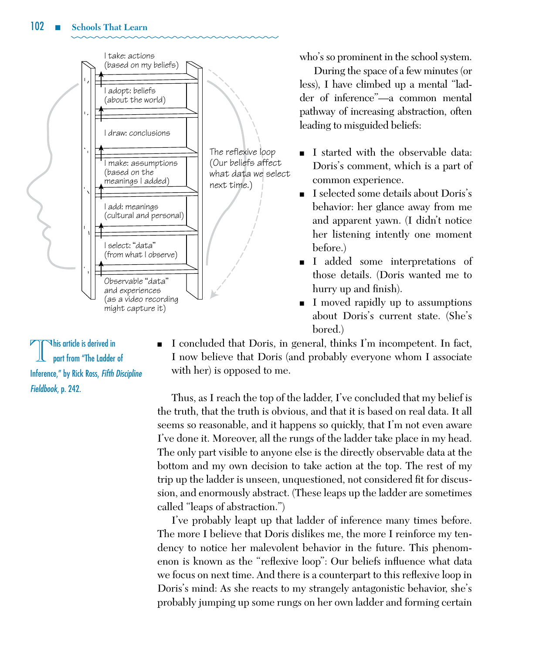

who's so prominent in the school system.

During the space of a few minutes (or less), I have climbed up a mental "ladder of inference"—a common mental pathway of increasing abstraction, often leading to misguided beliefs:

- I started with the observable data: Doris's comment, which is a part of common experience.
- n I selected some details about Doris's behavior: her glance away from me and apparent yawn. (I didn't notice her listening intently one moment before.)
- n I added some interpretations of those details. (Doris wanted me to hurry up and finish).
- I moved rapidly up to assumptions about Doris's current state. (She's bored.)

 $\nabla$ his article is derived in part from "The Ladder of Inference," by Rick Ross, *Fifth Discipline*  Fieldbook, p. 242.

<sup>n</sup> I concluded that Doris, in general, thinks I'm incompetent. In fact, I now believe that Doris (and probably everyone whom I associate with her) is opposed to me.

Thus, as I reach the top of the ladder, I've concluded that my belief is the truth, that the truth is obvious, and that it is based on real data. It all seems so reasonable, and it happens so quickly, that I'm not even aware I've done it. Moreover, all the rungs of the ladder take place in my head. The only part visible to anyone else is the directly observable data at the bottom and my own decision to take action at the top. The rest of my trip up the ladder is unseen, unquestioned, not considered fit for discussion, and enormously abstract. (These leaps up the ladder are sometimes called "leaps of abstraction.")  $\mathop{\rm the}\nolimits$ 

> I've probably leapt up that ladder of inference many times before. The more I believe that Doris dislikes me, the more I reinforce my tendency to notice her malevolent behavior in the future. This phenomenon is known as the "reflexive loop": Our beliefs influence what data we focus on next time. And there is a counterpart to this reflexive loop in Doris's mind: As she reacts to my strangely antagonistic behavior, she's probably jumping up some rungs on her own ladder and forming certain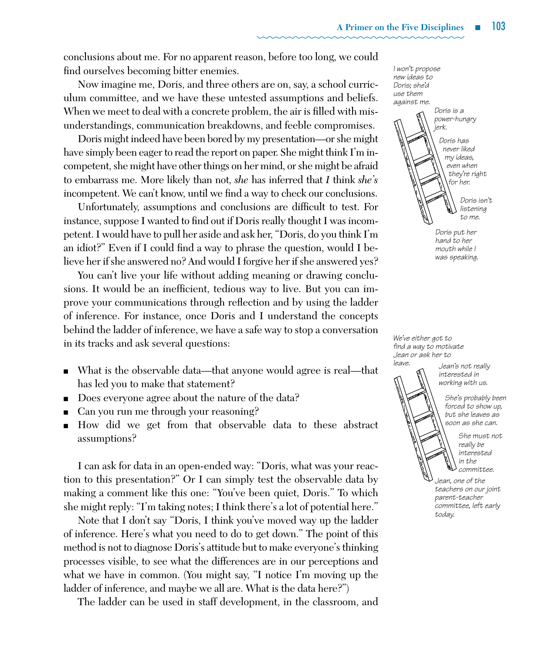conclusions about me. For no apparent reason, before too long, we could find ourselves becoming bitter enemies.

Now imagine me, Doris, and three others are on, say, a school curriculum committee, and we have these untested assumptions and beliefs. When we meet to deal with a concrete problem, the air is filled with misunderstandings, communication breakdowns, and feeble compromises.

Doris might indeed have been bored by my presentation—or she might have simply been eager to read the report on paper. She might think I'm incompetent, she might have other things on her mind, or she might be afraid to embarrass me. More likely than not, *she* has inferred that *I* think *she's* incompetent. We can't know, until we find a way to check our conclusions.

Unfortunately, assumptions and conclusions are difficult to test. For instance, suppose I wanted to find out if Doris really thought I was incompetent. I would have to pull her aside and ask her, "Doris, do you think I'm an idiot?" Even if I could find a way to phrase the question, would I believe her if she answered no? And would I forgive her if she answered yes?

You can't live your life without adding meaning or drawing conclusions. It would be an inefficient, tedious way to live. But you can improve your communications through reflection and by using the ladder of inference. For instance, once Doris and I understand the concepts behind the ladder of inference, we have a safe way to stop a conversation in its tracks and ask several questions:

- <sup>n</sup> What is the observable data—that anyone would agree is real—that has led you to make that statement?
- Does everyone agree about the nature of the data?
- Can you run me through your reasoning?
- <sup>n</sup> How did we get from that observable data to these abstract assumptions?

I can ask for data in an open-ended way: "Doris, what was your reaction to this presentation?" Or I can simply test the observable data by making a comment like this one: "You've been quiet, Doris." To which she might reply: "I'm taking notes; I think there's a lot of potential here."

Note that I don't say "Doris, I think you've moved way up the ladder of inference. Here's what you need to do to get down." The point of this method is not to diagnose Doris's attitude but to make everyone's thinking processes visible, to see what the differences are in our perceptions and what we have in common. (You might say, "I notice I'm moving up the ladder of inference, and maybe we all are. What is the data here?")

The ladder can be used in staff development, in the classroom, and

*I won't propose new ideas to Doris; she'd use them against me. Doris is a power-hungry jerk. Doris isn't listening to me. Doris put her Doris has never liked my ideas, even when they're right for her.*

*hand to her mouth while I was speaking.*

Figure TK\_page 69 *We've either got to find a way to motivate Jean or ask her to* 

 $e$ ave.<br> $\blacksquare$  bean's not really *leave. Jean's not really interested in working with us.*

> *She's probably been forced to show up, but she leaves as soon as she can.*

*She must not really be interested in the committee.*

*Jean, one of the teachers on our joint parent-teacher committee, left early today.*